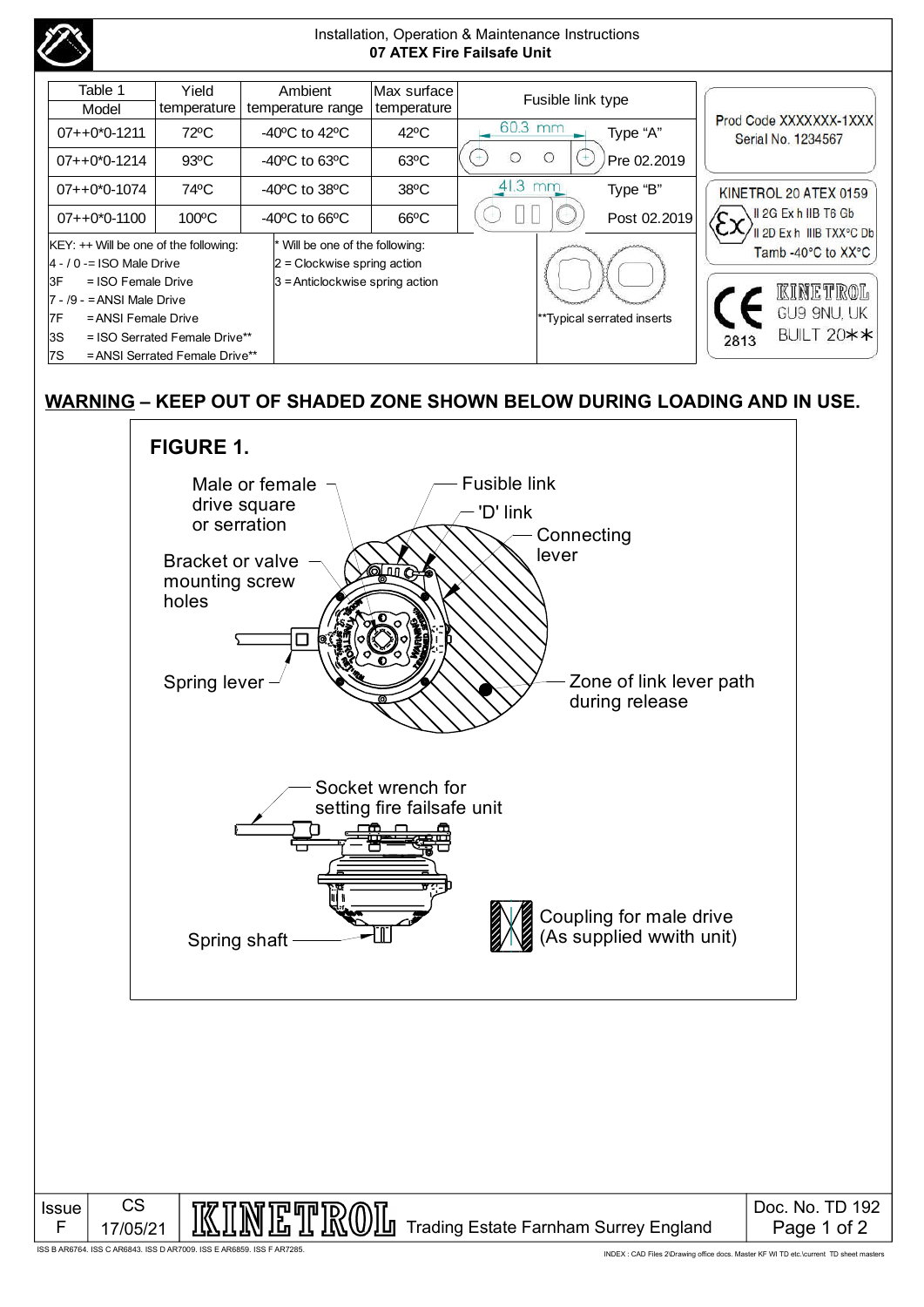

## **WARNING – KEEP OUT OF SHADED ZONE SHOWN BELOW DURING LOADING AND IN USE.**



ISS B AR6764. ISS C AR6843. ISS D AR7009. ISS E AR6859. ISS F AR7285.

F